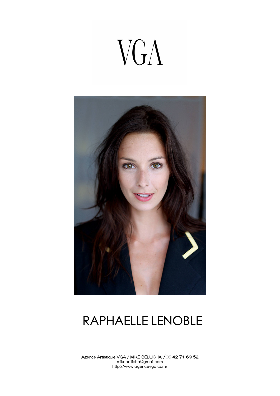# VGA



### RAPHAELLE LENOBLE

Agence Artistique VGA / MIKE BELLICHA /06 42 71 69 52 mikebellicha@gmail.com http://www.agencevga.com/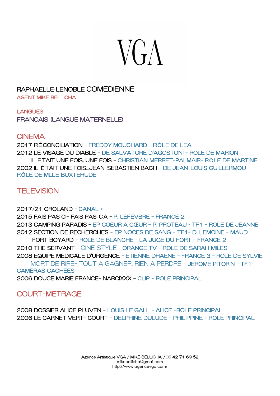# $V G \Lambda$

#### RAPHAELLE LENOBLE COMEDIENNE

AGENT MIKE BELLICHA

LANGUES

FRANCAIS (LANGUE MATERNELLE)

#### **CINEMA**

2017 RÉCONCILIATION - FREDDY MOUCHARD - RÔLE DE LEA 2012 LE VISAGE DU DIABLE - DE SALVATORE D'AGOSTONI - ROLE DE MARION IL ÉTAIT UNE FOIS, UNE FOIS - CHRISTIAN MERRET-PALMAIR- RÔLE DE MARTINE 2002 IL ÉTAIT UNE FOIS...JEAN-SEBASTIEN BACH - DE JEAN-LOUIS GUILLERMOU-RÔLE DE MLLE BUXTEHUDE

#### **TELEVISION**

2017/21 GROLAND - CANAL + 2015 FAIS PAS CI- FAIS PAS ÇA - P. LEFEVBRE - FRANCE 2 2013 CAMPING PARADIS – EP COEUR A CŒUR - P. PROTEAU - TF1 - ROLE DE JEANNE 2012 SECTION DE RECHERCHES - EP NOCES DE SANG - TF1- D. LEMOINE - MAUD FORT BOYARD - ROLE DE BLANCHE - LA JUGE DU FORT - FRANCE 2 2010 THE SERVANT - CINE STYLE - ORANGE TV - ROLE DE SARAH MILES 2008 EQUIPE MEDICALE D'URGENCE - ETIENNE DHAENE - FRANCE 3 - ROLE DE SYLVIE MORT DE RIRE- TOUT A GAGNER, RIEN A PERDRE - JEROME PITORIN - TF1- CAMERAS CACHEES 2006 DOUCE MARIE FRANCE- NARCIXXX – CLIP - ROLE PRINCIPAL

#### COURT-METRAGE

2008 DOSSIER ALICE PLUVEN - LOUIS LE GALL - ALICE -ROLE PRINCIPAL 2006 LE CARNET VERT- COURT - DELPHINE DULUDE - PHILIPPINE - ROLE PRINCIPAL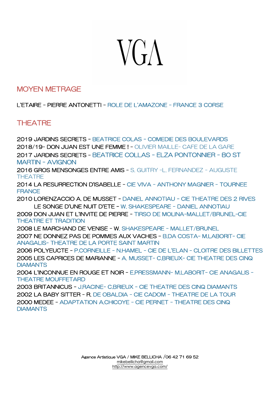## $V G \Lambda$

#### MOYEN METRAGE

L'ETAIRE - PIERRE ANTONETTI - ROLE DE L'AMAZONE - FRANCE 3 CORSE

#### **THEATRE**

2019 JARDINS SECRETS - BEATRICE COLAS - COMEDIE DES BOULEVARDS 2018/19- DON JUAN EST UNE FEMME ! - OLIVIER MAILLE- CAFE DE LA GARE 2017 JARDINS SECRETS - BEATRICE COLLAS - ELZA PONTONNIER - BO ST MARTIN - AVIGNON

2016 GROS MENSONGES ENTRE AMIS - S. GUITRY –L. FERNANDEZ - AUGUSTE **THEATRE** 

2014 LA RESURRECTION D'ISABELLE - CIE VIVA - ANTHONY MAGNIER - TOURNEE **FRANCE** 

2010 LORENZACCIO A. DE MUSSET - DANIEL ANNOTIAU - CIE THEATRE DES 2 RIVES LE SONGE D'UNE NUIT D'ETE – W. SHAKESPEARE - DANIEL ANNOTIAU

2009 DON JUAN ET L'INVITE DE PIERRE - TIRSO DE MOLINA-MALLET/BRUNEL-CIE THEATRE ET TRADITION

2008 LE MARCHAND DE VENISE - W. SHAKESPEARE - MALLET/BRUNEL 2007 NE DONNEZ PAS DE POMMES AUX VACHES – B.DA COSTA- M.LABORIT- CIE ANAGALIS- THEATRE DE LA PORTE SAINT MARTIN

2006 POLYEUCTE - P.CORNEILLE - N.HAMEL - CIE DE L'ELAN - CLOITRE DES BILLETTES 2005 LES CAPRICES DE MARIANNE - A. MUSSET- C.BRIEUX- CIE THEATRE DES CINQ **DIAMANTS** 

2004 L'INCONNUE EN ROUGE ET NOIR - E.PRESSMANN- M.LABORIT- CIE ANAGALIS - THEATRE MOUFFETARD

2003 BRITANNICUS - J.RACINE- C.BRIEUX - CIE THEATRE DES CINQ DIAMANTS 2002 LA BABY SITTER - R. DE OBALDIA - CIE CADOM - THEATRE DE LA TOUR 2000 MEDEE - ADAPTATION A.CHICOYE - CIE PERNET - THEATRE DES CINQ **DIAMANTS**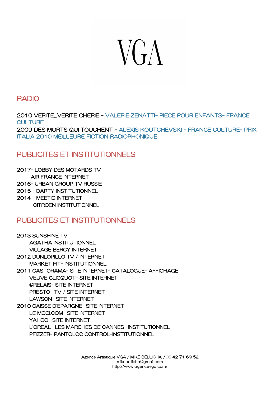## **VGA**

#### RADIO

2010 VERITE...VERITE CHERIE - VALERIE ZENATTI- PIECE POUR ENFANTS- FRANCE **CULTURE** 2009 DES MORTS QUI TOUCHENT - ALEXIS KOUTCHEVSKI - FRANCE CULTURE- PRIX ITALIA 2010 MEILLEURE FICTION RADIOPHONIQUE

#### PUBLICITES ET INSTITUTIONNELS

2017- LOBBY DES MOTARDS TV AIR FRANCE INTERNET 2016- URBAN GROUP TV RUSSIE 2015 - DARTY INSTITUTIONNEL 2014 - MEETIC INTERNET - CITROEN INSTITUTIONNEL

#### PUBLICITES ET INSTITUTIONNELS

2013 SUNSHINE TV AGATHA INSTITUTIONNEL VILLAGE BERCY INTERNET 2012 DUNLOPILLO TV / INTERNET MARKET FIT- INSTITUTIONNEL 2011 CASTORAMA- SITE INTERNET- CATALOGUE- AFFICHAGE VEUVE CLICQUOT- SITE INTERNET @RELAIS- SITE INTERNET PRESTO- TV / SITE INTERNET LAWSON- SITE INTERNET 2010 CAISSE D'EPARGNE- SITE INTERNET LE MOCI.COM- SITE INTERNET YAHOO- SITE INTERNET L'OREAL- LES MARCHES DE CANNES- INSTITUTIONNEL PFIZZER- PANTOLOC CONTROL-INSTITUTIONNEL